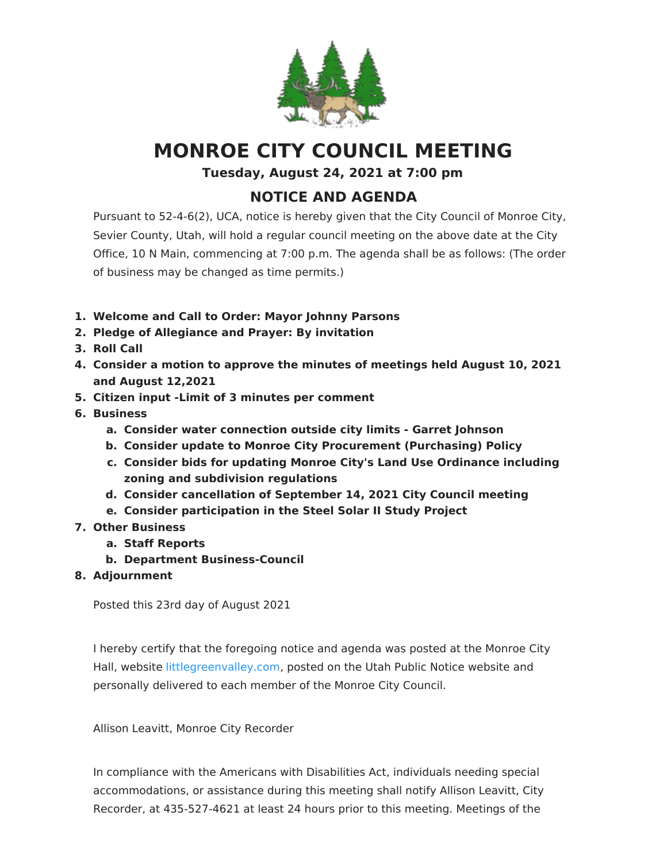

## **MONROE CITY COUNCIL MEETING**

**Tuesday, August 24, 2021 at 7:00 pm**

## **NOTICE AND AGENDA**

Pursuant to 52-4-6(2), UCA, notice is hereby given that the City Council of Monroe City, Sevier County, Utah, will hold a regular council meeting on the above date at the City Office, 10 N Main, commencing at 7:00 p.m. The agenda shall be as follows: (The order of business may be changed as time permits.)

- **1. Welcome and Call to Order: Mayor Johnny Parsons**
- **2. Pledge of Allegiance and Prayer: By invitation**
- **3. Roll Call**
- **4. Consider a motion to approve the minutes of meetings held August 10, 2021 and August 12,2021**
- **5. Citizen input -Limit of 3 minutes per comment**
- **6. Business**
	- **a. Consider water connection outside city limits - Garret Johnson**
	- **b. Consider update to Monroe City Procurement (Purchasing) Policy**
	- **c. Consider bids for updating Monroe City's Land Use Ordinance including zoning and subdivision regulations**
	- **d. Consider cancellation of September 14, 2021 City Council meeting**
	- **e. Consider participation in the Steel Solar II Study Project**
- **7. Other Business**
	- **a. Staff Reports**
	- **b. Department Business-Council**
- **8. Adjournment**

Posted this 23rd day of August 2021

I hereby certify that the foregoing notice and agenda was posted at the Monroe City Hall, website [littlegreenvalley.com](https://www.littlegreenvalley.com/), posted on the Utah Public Notice website and personally delivered to each member of the Monroe City Council.

Allison Leavitt, Monroe City Recorder

In compliance with the Americans with Disabilities Act, individuals needing special accommodations, or assistance during this meeting shall notify Allison Leavitt, City Recorder, at 435-527-4621 at least 24 hours prior to this meeting. Meetings of the